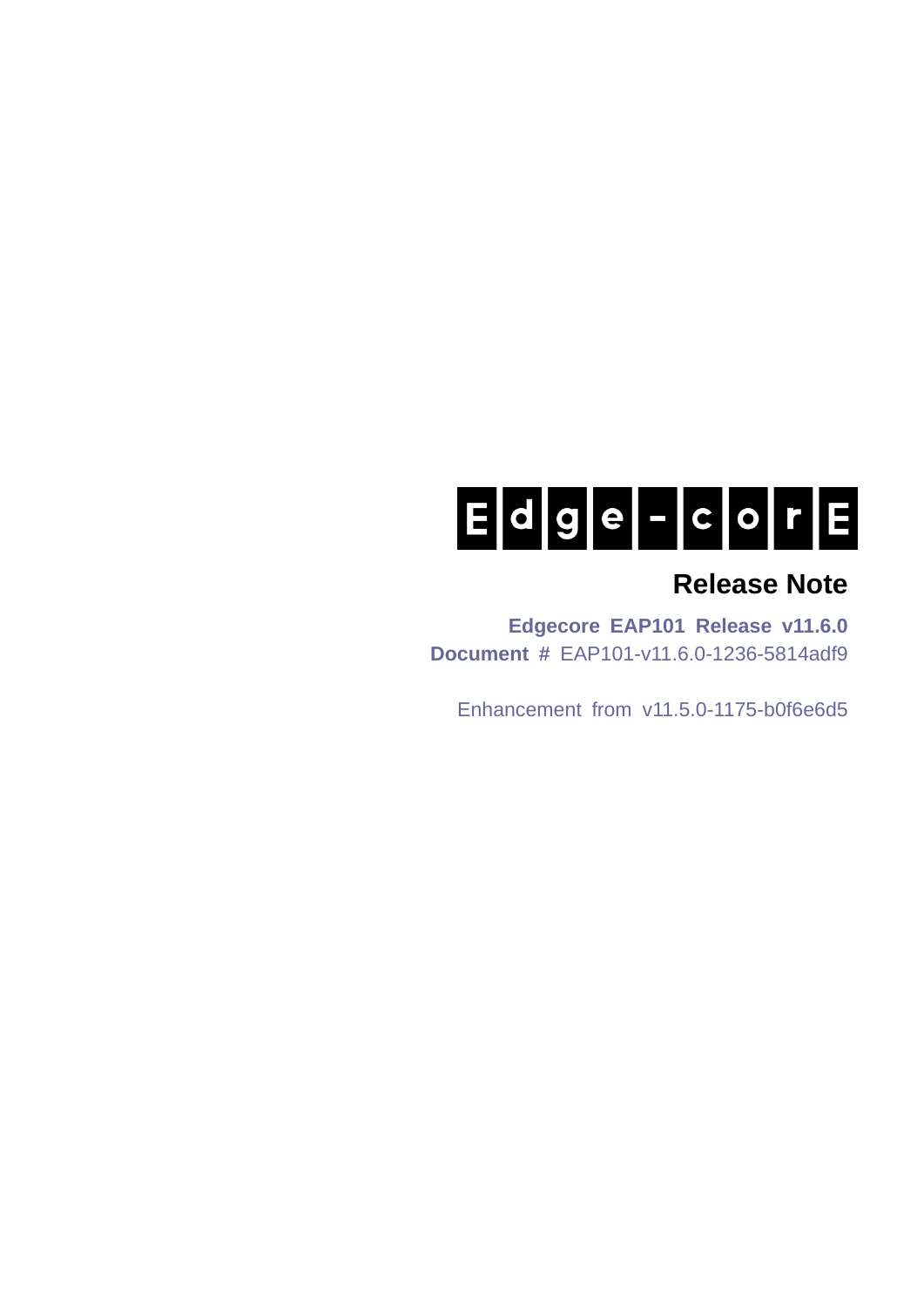# $E d g e - c o r E$

# **Release Note**

**Edgecore EAP101 Release v11.6.0 Document #** EAP101-v11.6.0-1236-5814adf9

Enhancement from v11.5.0-1175-b0f6e6d5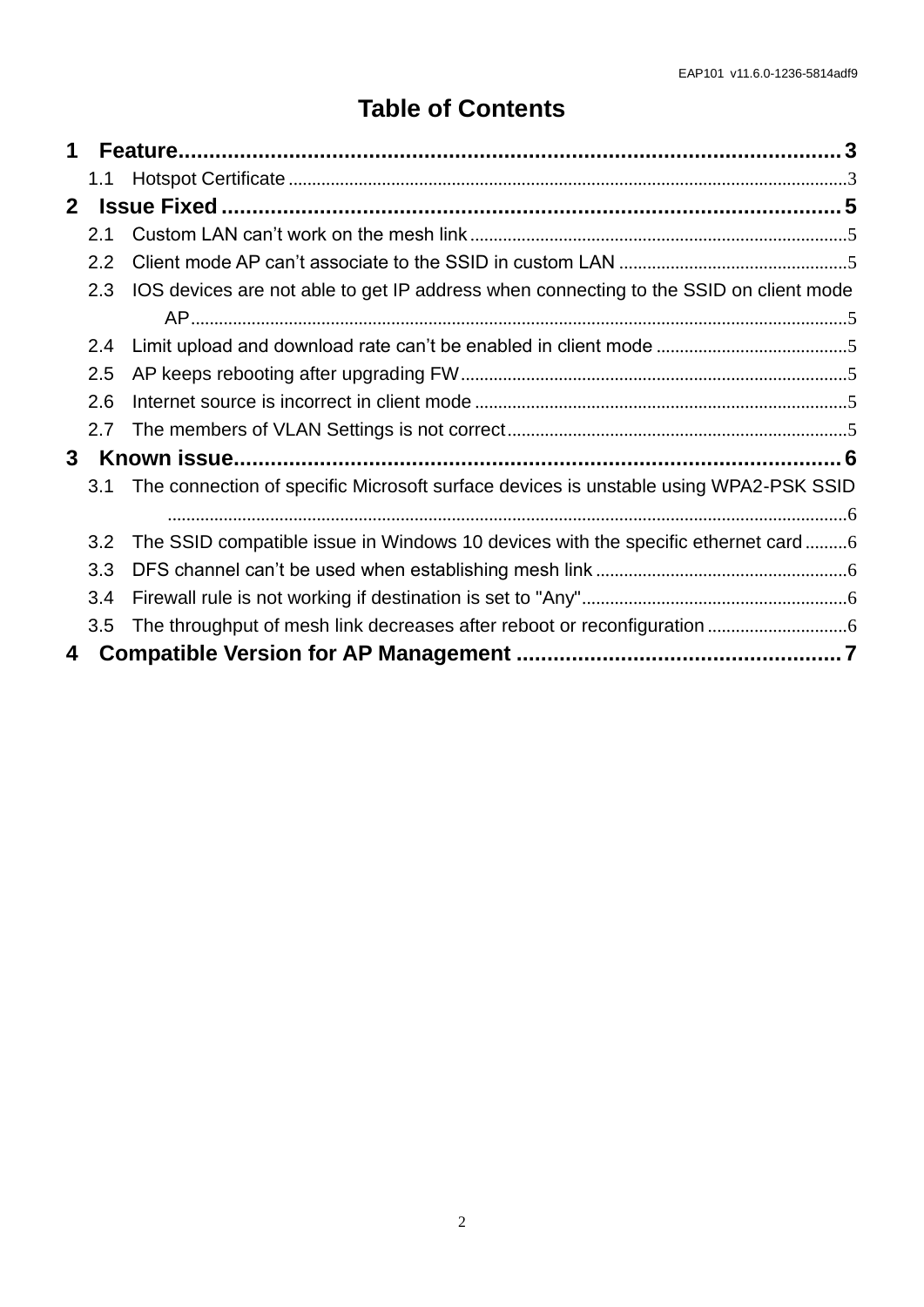# **Table of Contents**

| 1              |     |                                                                                       |  |  |
|----------------|-----|---------------------------------------------------------------------------------------|--|--|
|                | 1.1 |                                                                                       |  |  |
| $\mathbf{2}^-$ |     |                                                                                       |  |  |
|                | 2.1 |                                                                                       |  |  |
|                | 2.2 |                                                                                       |  |  |
|                | 2.3 | IOS devices are not able to get IP address when connecting to the SSID on client mode |  |  |
|                |     |                                                                                       |  |  |
|                | 2.4 |                                                                                       |  |  |
|                | 2.5 |                                                                                       |  |  |
|                | 2.6 |                                                                                       |  |  |
|                | 2.7 |                                                                                       |  |  |
| 3              |     |                                                                                       |  |  |
|                | 3.1 | The connection of specific Microsoft surface devices is unstable using WPA2-PSK SSID  |  |  |
|                |     |                                                                                       |  |  |
|                | 3.2 |                                                                                       |  |  |
|                | 3.3 |                                                                                       |  |  |
|                | 3.4 |                                                                                       |  |  |
|                | 3.5 |                                                                                       |  |  |
| 4              |     |                                                                                       |  |  |
|                |     |                                                                                       |  |  |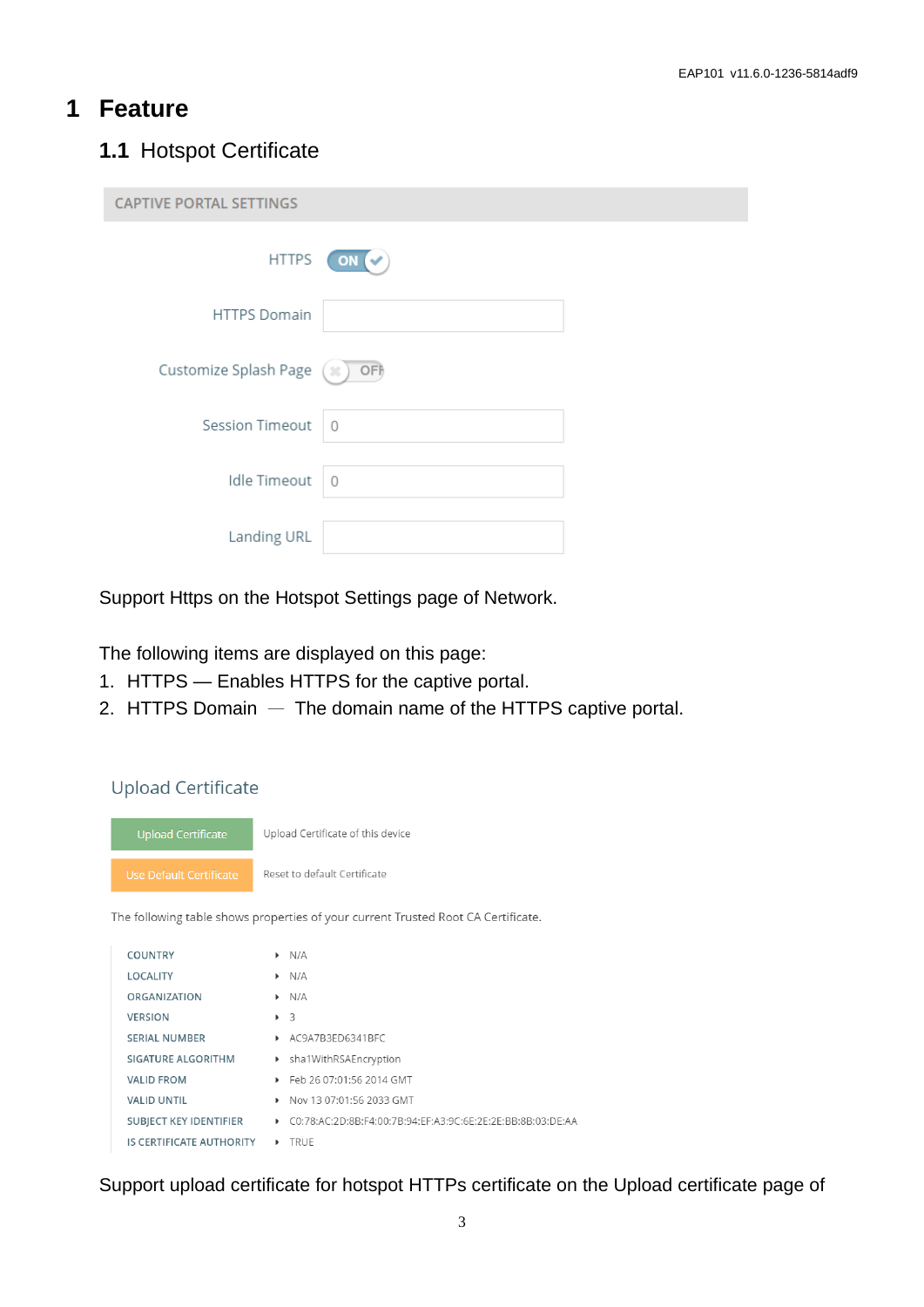#### <span id="page-2-0"></span>**1 Feature**

#### <span id="page-2-1"></span>**1.1** Hotspot Certificate

| <b>CAPTIVE PORTAL SETTINGS</b> |             |  |  |  |  |
|--------------------------------|-------------|--|--|--|--|
| <b>HTTPS</b>                   | ΟN          |  |  |  |  |
| <b>HTTPS Domain</b>            |             |  |  |  |  |
| Customize Splash Page          | OFF<br>(36  |  |  |  |  |
| <b>Session Timeout</b>         | $\Omega$    |  |  |  |  |
| <b>Idle Timeout</b>            | $\mathbf 0$ |  |  |  |  |
| Landing URL                    |             |  |  |  |  |

Support Https on the Hotspot Settings page of Network.

The following items are displayed on this page:

- 1. HTTPS Enables HTTPS for the captive portal.
- 2. HTTPS Domain The domain name of the HTTPS captive portal.



IS CERTIFICATE AUTHORITY ▶ TRUE

SUBJECT KEY IDENTIFIER  $O(78:AC:2D:8B:F4:00:7B:94:EF:A3:9C:6E:2E:2E:BB:8B:03:DE:AA$ 

Support upload certificate for hotspot HTTPs certificate on the Upload certificate page of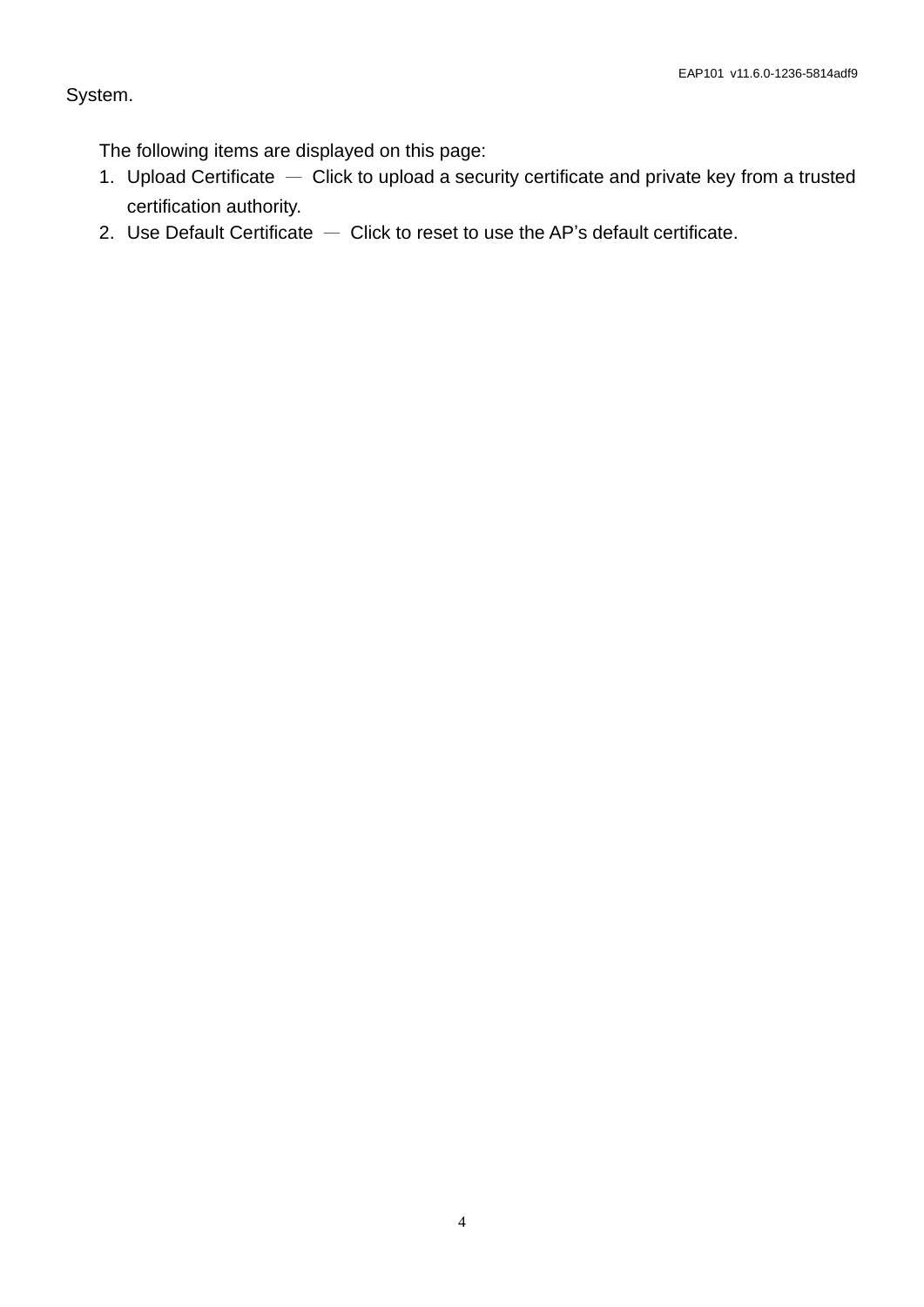#### System.

The following items are displayed on this page:

- 1. Upload Certificate Click to upload a security certificate and private key from a trusted certification authority.
- 2. Use Default Certificate  $-$  Click to reset to use the AP's default certificate.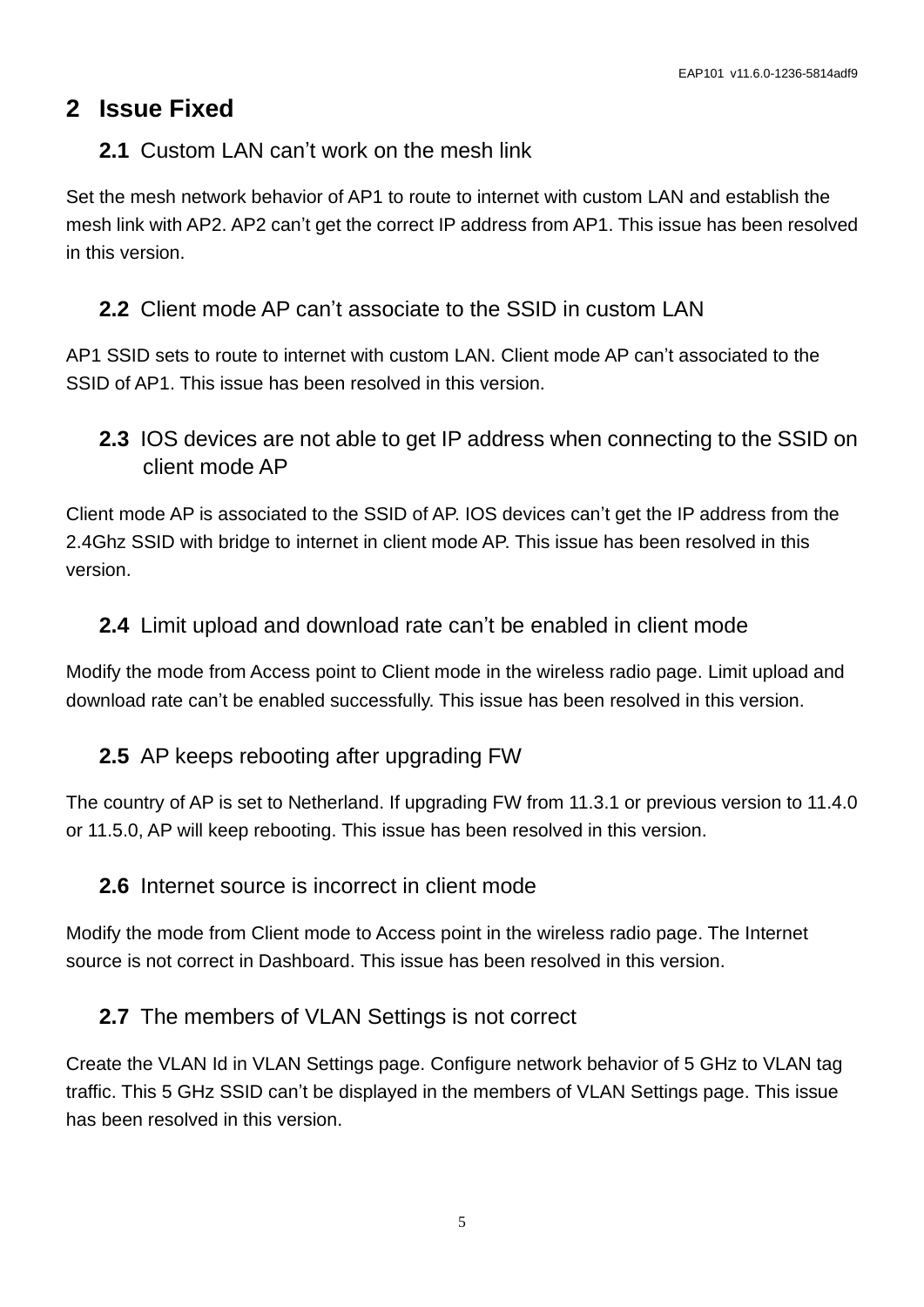# <span id="page-4-0"></span>**2 Issue Fixed**

#### <span id="page-4-1"></span>**2.1** Custom LAN can't work on the mesh link

Set the mesh network behavior of AP1 to route to internet with custom LAN and establish the mesh link with AP2. AP2 can't get the correct IP address from AP1. This issue has been resolved in this version.

### <span id="page-4-2"></span>**2.2** Client mode AP can't associate to the SSID in custom LAN

AP1 SSID sets to route to internet with custom LAN. Client mode AP can't associated to the SSID of AP1. This issue has been resolved in this version.

<span id="page-4-3"></span>**2.3** IOS devices are not able to get IP address when connecting to the SSID on client mode AP

Client mode AP is associated to the SSID of AP. IOS devices can't get the IP address from the 2.4Ghz SSID with bridge to internet in client mode AP. This issue has been resolved in this version.

#### <span id="page-4-4"></span>**2.4** Limit upload and download rate can't be enabled in client mode

Modify the mode from Access point to Client mode in the wireless radio page. Limit upload and download rate can't be enabled successfully. This issue has been resolved in this version.

#### <span id="page-4-5"></span>**2.5** AP keeps rebooting after upgrading FW

The country of AP is set to Netherland. If upgrading FW from 11.3.1 or previous version to 11.4.0 or 11.5.0, AP will keep rebooting. This issue has been resolved in this version.

#### <span id="page-4-6"></span>**2.6** Internet source is incorrect in client mode

Modify the mode from Client mode to Access point in the wireless radio page. The Internet source is not correct in Dashboard. This issue has been resolved in this version.

#### <span id="page-4-7"></span>**2.7** The members of VLAN Settings is not correct

Create the VLAN Id in VLAN Settings page. Configure network behavior of 5 GHz to VLAN tag traffic. This 5 GHz SSID can't be displayed in the members of VLAN Settings page. This issue has been resolved in this version.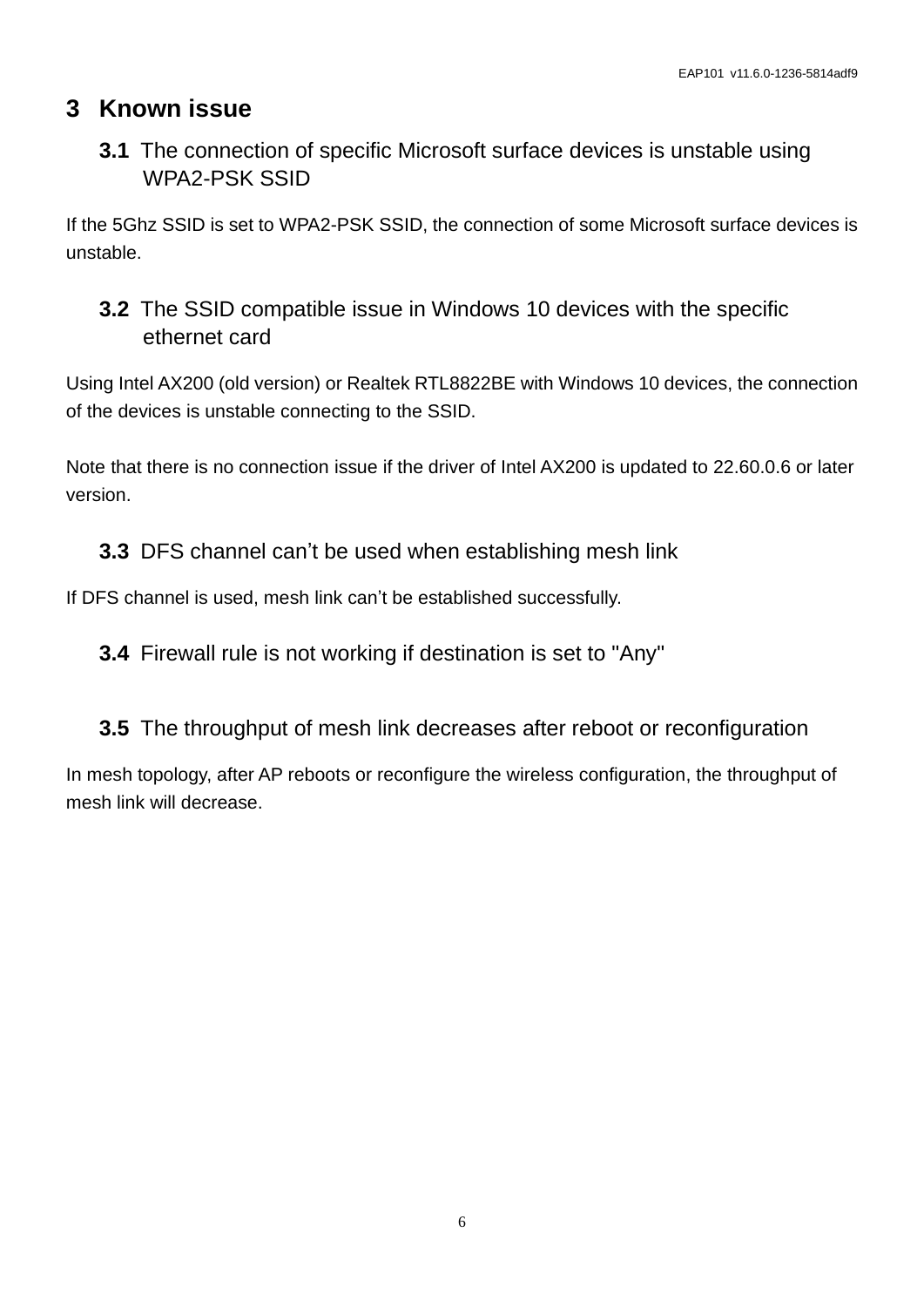# <span id="page-5-0"></span>**3 Known issue**

# <span id="page-5-1"></span>**3.1** The connection of specific Microsoft surface devices is unstable using WPA2-PSK SSID

If the 5Ghz SSID is set to WPA2-PSK SSID, the connection of some Microsoft surface devices is unstable.

# <span id="page-5-2"></span>**3.2** The SSID compatible issue in Windows 10 devices with the specific ethernet card

Using Intel AX200 (old version) or Realtek RTL8822BE with Windows 10 devices, the connection of the devices is unstable connecting to the SSID.

Note that there is no connection issue if the driver of Intel AX200 is updated to 22.60.0.6 or later version.

## <span id="page-5-3"></span>**3.3** DFS channel can't be used when establishing mesh link

If DFS channel is used, mesh link can't be established successfully.

<span id="page-5-4"></span>**3.4** Firewall rule is not working if destination is set to "Any"

## <span id="page-5-5"></span>**3.5** The throughput of mesh link decreases after reboot or reconfiguration

In mesh topology, after AP reboots or reconfigure the wireless configuration, the throughput of mesh link will decrease.